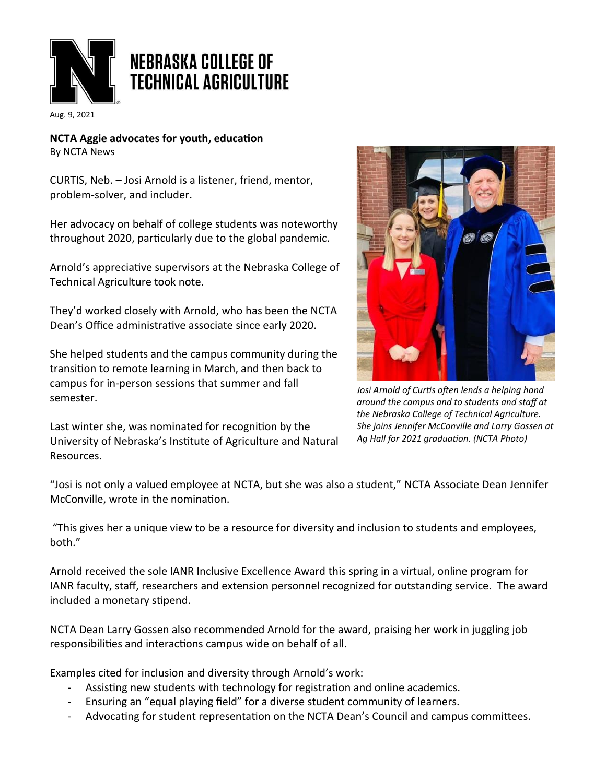

Aug. 9, 2021

**NCTA Aggie advocates for youth, education** By NCTA News

CURTIS, Neb. – Josi Arnold is a listener, friend, mentor, problem-solver, and includer.

Her advocacy on behalf of college students was noteworthy throughout 2020, particularly due to the global pandemic.

Arnold's appreciative supervisors at the Nebraska College of Technical Agriculture took note.

They'd worked closely with Arnold, who has been the NCTA Dean's Office administrative associate since early 2020.

She helped students and the campus community during the transition to remote learning in March, and then back to campus for in-person sessions that summer and fall semester.

Last winter she, was nominated for recognition by the University of Nebraska's Institute of Agriculture and Natural Resources.



*Josi Arnold of Curtis often lends a helping hand around the campus and to students and staff at the Nebraska College of Technical Agriculture. She joins Jennifer McConville and Larry Gossen at Ag Hall for 2021 graduation. (NCTA Photo)*

"Josi is not only a valued employee at NCTA, but she was also a student," NCTA Associate Dean Jennifer McConville, wrote in the nomination.

"This gives her a unique view to be a resource for diversity and inclusion to students and employees, both."

Arnold received the sole IANR Inclusive Excellence Award this spring in a virtual, online program for IANR faculty, staff, researchers and extension personnel recognized for outstanding service. The award included a monetary stipend.

NCTA Dean Larry Gossen also recommended Arnold for the award, praising her work in juggling job responsibilities and interactions campus wide on behalf of all.

Examples cited for inclusion and diversity through Arnold's work:

- Assisting new students with technology for registration and online academics.
- Ensuring an "equal playing field" for a diverse student community of learners.
- Advocating for student representation on the NCTA Dean's Council and campus committees.